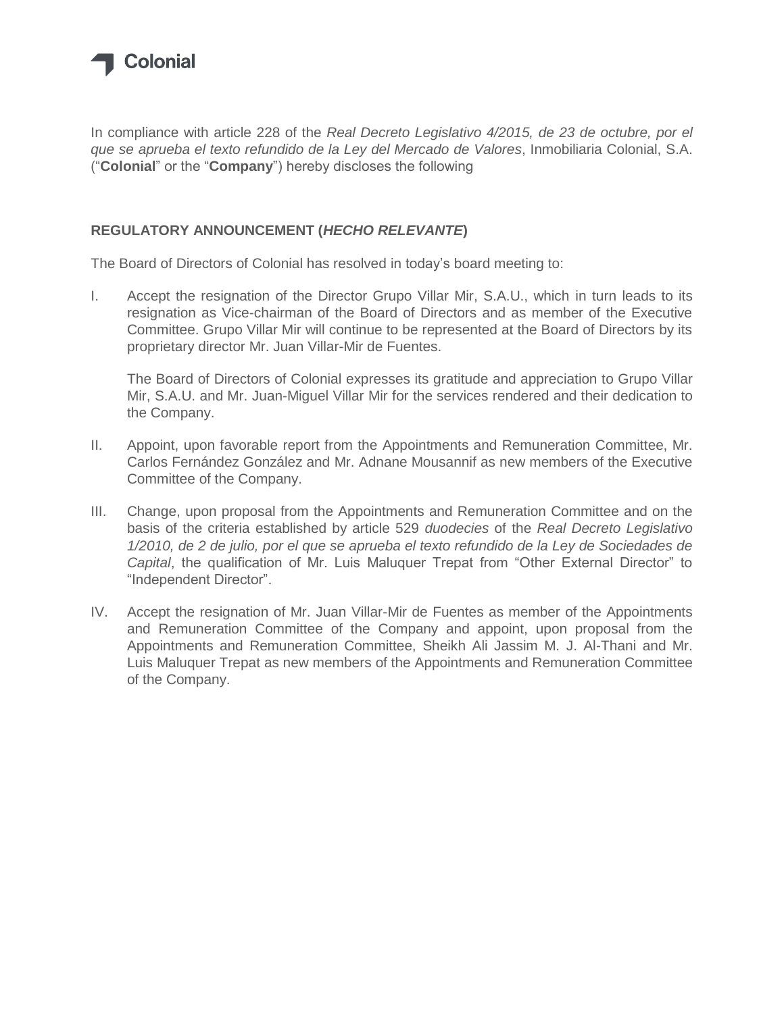

In compliance with article 228 of the *Real Decreto Legislativo 4/2015, de 23 de octubre, por el que se aprueba el texto refundido de la Ley del Mercado de Valores*, Inmobiliaria Colonial, S.A. ("**Colonial**" or the "**Company**") hereby discloses the following

## **REGULATORY ANNOUNCEMENT (***HECHO RELEVANTE***)**

The Board of Directors of Colonial has resolved in today's board meeting to:

I. Accept the resignation of the Director Grupo Villar Mir, S.A.U., which in turn leads to its resignation as Vice-chairman of the Board of Directors and as member of the Executive Committee. Grupo Villar Mir will continue to be represented at the Board of Directors by its proprietary director Mr. Juan Villar-Mir de Fuentes.

The Board of Directors of Colonial expresses its gratitude and appreciation to Grupo Villar Mir, S.A.U. and Mr. Juan-Miguel Villar Mir for the services rendered and their dedication to the Company.

- II. Appoint, upon favorable report from the Appointments and Remuneration Committee, Mr. Carlos Fernández González and Mr. Adnane Mousannif as new members of the Executive Committee of the Company.
- III. Change, upon proposal from the Appointments and Remuneration Committee and on the basis of the criteria established by article 529 *duodecies* of the *Real Decreto Legislativo 1/2010, de 2 de julio, por el que se aprueba el texto refundido de la Ley de Sociedades de Capital*, the qualification of Mr. Luis Maluquer Trepat from "Other External Director" to "Independent Director".
- IV. Accept the resignation of Mr. Juan Villar-Mir de Fuentes as member of the Appointments and Remuneration Committee of the Company and appoint, upon proposal from the Appointments and Remuneration Committee, Sheikh Ali Jassim M. J. Al-Thani and Mr. Luis Maluquer Trepat as new members of the Appointments and Remuneration Committee of the Company.